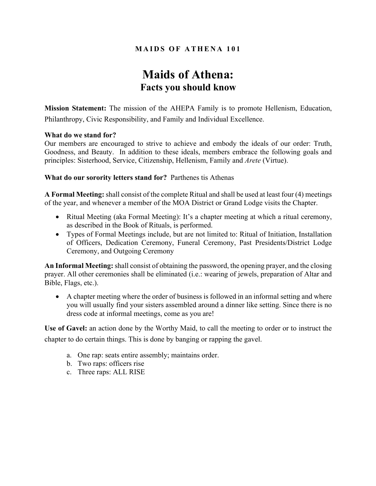### **MAIDS OF ATHENA 101**

## **Maids of Athena: Facts you should know**

**Mission Statement:** The mission of the AHEPA Family is to promote Hellenism, Education, Philanthropy, Civic Responsibility, and Family and Individual Excellence.

### **What do we stand for?**

Our members are encouraged to strive to achieve and embody the ideals of our order: Truth, Goodness, and Beauty. In addition to these ideals, members embrace the following goals and principles: Sisterhood, Service, Citizenship, Hellenism, Family and *Arete* (Virtue).

### **What do our sorority letters stand for?** Parthenes tis Athenas

**A Formal Meeting:** shall consist of the complete Ritual and shall be used at least four (4) meetings of the year, and whenever a member of the MOA District or Grand Lodge visits the Chapter.

- Ritual Meeting (aka Formal Meeting): It's a chapter meeting at which a ritual ceremony, as described in the Book of Rituals, is performed.
- Types of Formal Meetings include, but are not limited to: Ritual of Initiation, Installation of Officers, Dedication Ceremony, Funeral Ceremony, Past Presidents/District Lodge Ceremony, and Outgoing Ceremony

**An Informal Meeting:** shall consist of obtaining the password, the opening prayer, and the closing prayer. All other ceremonies shall be eliminated (i.e.: wearing of jewels, preparation of Altar and Bible, Flags, etc.).

• A chapter meeting where the order of business is followed in an informal setting and where you will usually find your sisters assembled around a dinner like setting. Since there is no dress code at informal meetings, come as you are!

**Use of Gavel:** an action done by the Worthy Maid, to call the meeting to order or to instruct the chapter to do certain things. This is done by banging or rapping the gavel.

- a. One rap: seats entire assembly; maintains order.
- b. Two raps: officers rise
- c. Three raps: ALL RISE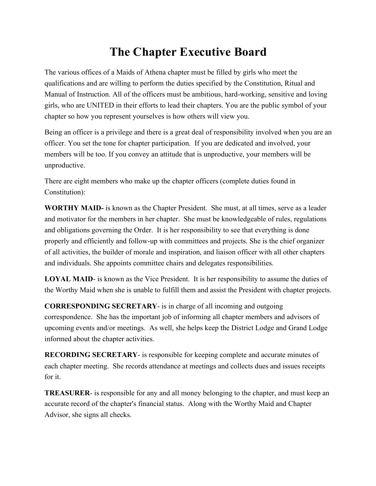# **The Chapter Executive Board**

The various offices of a Maids of Athena chapter must be filled by girls who meet the qualifications and are willing to perform the duties specified by the Constitution, Ritual and Manual of Instruction. All of the officers must be ambitious, hard-working, sensitive and loving girls, who are UNITED in their efforts to lead their chapters. You are the public symbol of your chapter so how you represent yourselves is how others will view you.

Being an officer is a privilege and there is a great deal of responsibility involved when you are an officer. You set the tone for chapter participation. If you are dedicated and involved, your members will be too. If you convey an attitude that is unproductive, your members will be unproductive.

There are eight members who make up the chapter officers (complete duties found in Constitution):

**WORTHY MAID-** is known as the Chapter President. She must, at all times, serve as a leader and motivator for the members in her chapter. She must be knowledgeable of rules, regulations and obligations governing the Order. It is her responsibility to see that everything is done properly and efficiently and follow-up with committees and projects. She is the chief organizer of all activities, the builder of morale and inspiration, and liaison officer with all other chapters and individuals. She appoints committee chairs and delegates responsibilities.

**LOYAL MAID**- is known as the Vice President. It is her responsibility to assume the duties of the Worthy Maid when she is unable to fulfill them and assist the President with chapter projects.

**CORRESPONDING SECRETARY**- is in charge of all incoming and outgoing correspondence. She has the important job of informing all chapter members and advisors of upcoming events and/or meetings. As well, she helps keep the District Lodge and Grand Lodge informed about the chapter activities.

**RECORDING SECRETARY**- is responsible for keeping complete and accurate minutes of each chapter meeting. She records attendance at meetings and collects dues and issues receipts for it.

**TREASURER**- is responsible for any and all money belonging to the chapter, and must keep an accurate record of the chapter's financial status. Along with the Worthy Maid and Chapter Advisor, she signs all checks.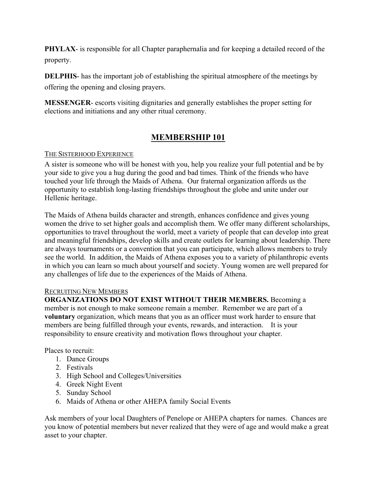**PHYLAX**- is responsible for all Chapter paraphernalia and for keeping a detailed record of the property.

**DELPHIS**- has the important job of establishing the spiritual atmosphere of the meetings by offering the opening and closing prayers.

**MESSENGER**- escorts visiting dignitaries and generally establishes the proper setting for elections and initiations and any other ritual ceremony.

### **MEMBERSHIP 101**

### THE SISTERHOOD EXPERIENCE

A sister is someone who will be honest with you, help you realize your full potential and be by your side to give you a hug during the good and bad times. Think of the friends who have touched your life through the Maids of Athena. Our fraternal organization affords us the opportunity to establish long-lasting friendships throughout the globe and unite under our Hellenic heritage.

The Maids of Athena builds character and strength, enhances confidence and gives young women the drive to set higher goals and accomplish them. We offer many different scholarships, opportunities to travel throughout the world, meet a variety of people that can develop into great and meaningful friendships, develop skills and create outlets for learning about leadership. There are always tournaments or a convention that you can participate, which allows members to truly see the world. In addition, the Maids of Athena exposes you to a variety of philanthropic events in which you can learn so much about yourself and society. Young women are well prepared for any challenges of life due to the experiences of the Maids of Athena.

### RECRUITING NEW MEMBERS

**ORGANIZATIONS DO NOT EXIST WITHOUT THEIR MEMBERS.** Becoming a member is not enough to make someone remain a member. Remember we are part of a **voluntary** organization, which means that you as an officer must work harder to ensure that members are being fulfilled through your events, rewards, and interaction. It is your responsibility to ensure creativity and motivation flows throughout your chapter.

Places to recruit:

- 1. Dance Groups
- 2. Festivals
- 3. High School and Colleges/Universities
- 4. Greek Night Event
- 5. Sunday School
- 6. Maids of Athena or other AHEPA family Social Events

Ask members of your local Daughters of Penelope or AHEPA chapters for names. Chances are you know of potential members but never realized that they were of age and would make a great asset to your chapter.